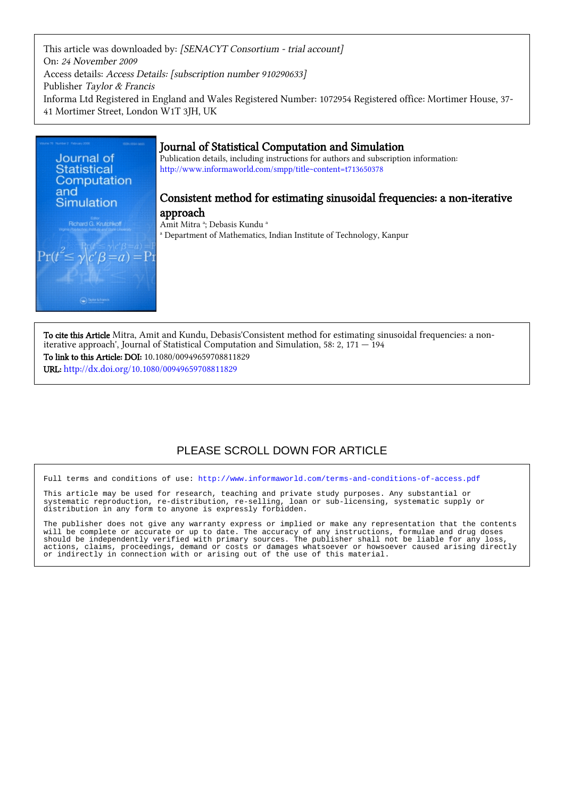This article was downloaded by: [SENACYT Consortium - trial account] On: 24 November 2009 Access details: Access Details: [subscription number 910290633] Publisher Taylor & Francis Informa Ltd Registered in England and Wales Registered Number: 1072954 Registered office: Mortimer House, 37- 41 Mortimer Street, London W1T 3JH, UK



## Journal of Statistical Computation and Simulation

Publication details, including instructions for authors and subscription information: <http://www.informaworld.com/smpp/title~content=t713650378>

## Consistent method for estimating sinusoidal frequencies: a non-iterative approach

Amit Mitra <sup>a</sup>; Debasis Kundu <sup>a</sup> <sup>a</sup> Department of Mathematics, Indian Institute of Technology, Kanpur

To cite this Article Mitra, Amit and Kundu, Debasis'Consistent method for estimating sinusoidal frequencies: a noniterative approach', Journal of Statistical Computation and Simulation, 58: 2, 171 — 194 To link to this Article: DOI: 10.1080/00949659708811829 URL: <http://dx.doi.org/10.1080/00949659708811829>

# PLEASE SCROLL DOWN FOR ARTICLE

Full terms and conditions of use:<http://www.informaworld.com/terms-and-conditions-of-access.pdf>

This article may be used for research, teaching and private study purposes. Any substantial or systematic reproduction, re-distribution, re-selling, loan or sub-licensing, systematic supply or distribution in any form to anyone is expressly forbidden.

The publisher does not give any warranty express or implied or make any representation that the contents will be complete or accurate or up to date. The accuracy of any instructions, formulae and drug doses should be independently verified with primary sources. The publisher shall not be liable for any loss, actions, claims, proceedings, demand or costs or damages whatsoever or howsoever caused arising directly or indirectly in connection with or arising out of the use of this material.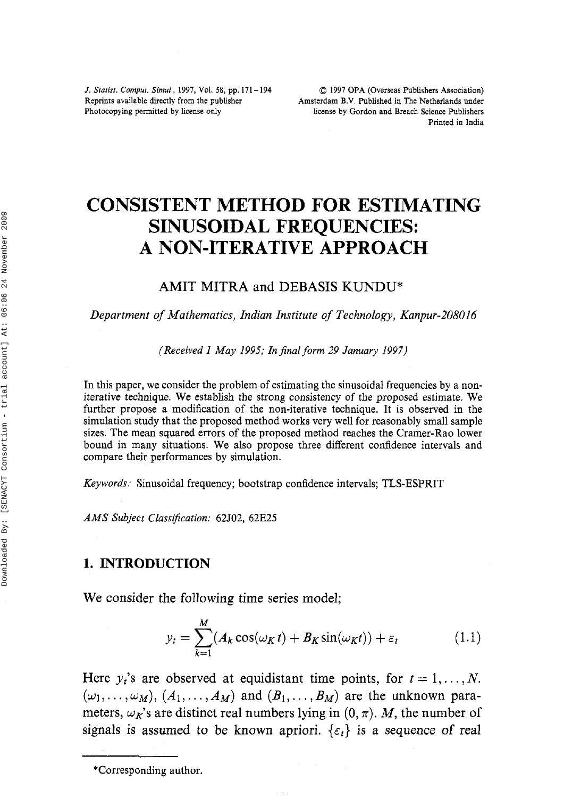Reprints available directly from the publisher Amsterdam B.V. Published in The Netherlands under<br>Photocopying permitted by license only license by Gordon and Breach Science Publishers

## **CONSISTENT METHOD FOR ESTIMATING SINUSOIDAL FREQUENCIES: A NON-ITERATIVE APPROACH**

## **AMIT MITRA** and **DEBASIS KUNDU\***

*Department of Mathematics, Indian Institute of Technology, Kanpur-208016* 

*(Received I May 1995; Znjinal form* 29 *January 1997)* 

In this paper, we consider the problem of estimating the sinusoidal frequencies by a noniterative technique. We establish the strong consistency of the proposed estimate. We further propose a modification of the non-iterative technique. It is observed in the simulation study that the proposed method works very well for reasonably small sample sizes. The mean squared errors of the proposed method reaches the Cramer-Rao lower bound in many situations. We also propose three different confidence intervals and compare their performances by simulation.

*Keywords:* Sinusoidal frequency; bootstrap confidence intervals; TLS-ESPRIT

*AMS Subject ClassiJication:* 62502, 62E25

## **1. INTRODUCTION**

We consider the following time series model;

$$
y_t = \sum_{k=1}^{M} (A_k \cos(\omega_K t) + B_K \sin(\omega_K t)) + \varepsilon_t
$$
 (1.1)

Here  $y_i$ 's are observed at equidistant time points, for  $t = 1, \ldots, N$ .  $(\omega_1, \ldots, \omega_M)$ ,  $(A_1, \ldots, A_M)$  and  $(B_1, \ldots, B_M)$  are the unknown parameters,  $\omega_{\mathbf{k}}$ 's are distinct real numbers lying in  $(0, \pi)$ . *M*, the number of signals is assumed to be known apriori.  $\{\varepsilon_t\}$  is a sequence of real

<sup>\*</sup>Corresponding author.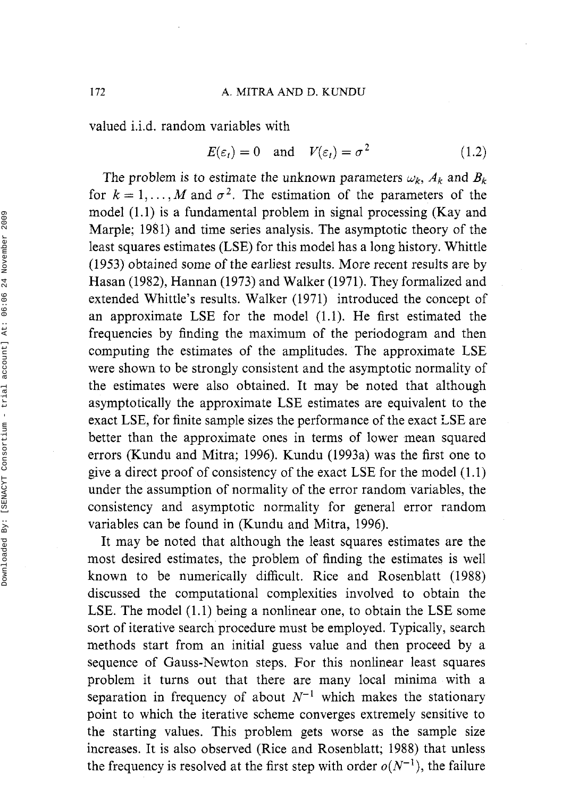valued i.i.d. random variables with

$$
E(\varepsilon_t) = 0
$$
 and  $V(\varepsilon_t) = \sigma^2$  (1.2)

The problem is to estimate the unknown parameters  $\omega_k$ ,  $A_k$  and  $B_k$ for  $k = 1, ..., M$  and  $\sigma^2$ . The estimation of the parameters of the model (1.1) is a fundamental problem in signal processing (Kay and Marple; 1981) and time series analysis. The asymptotic theory of the least squares estimates (LSE) for this model has a long history. Whittle (1953) obtained some of the earliest results. More recent results are by Hasan (1982), Hannan (1973) and Walker (1971). They formalized and extended Whittle's results. Walker (1971) introduced the concept of an approximate LSE for the model (1.1). He first estimated the frequencies by finding the maximum of the periodogram and then computing the estimates of the amplitudes. The approximate LSE were shown to be strongly consistent and the asymptotic normality of the estimates were also obtained. It may be noted that although asymptotically the approximate LSE estimates are equivalent to the exact LSE, for finite sample sizes the performance of the exact LSE are better than the approximate ones in terms of lower mean squared errors (Kundu and Mitra; 1996). Kundu (1993a) was the first one to give a direct proof of consistency of the exact LSE for the model (1.1) under the assumption of normality of the error random variables, the consistency and asymptotic normality for general error random variables can be found in (Kundu and Mitra, 1996).

It may be noted that although the least squares estimates are the most desired estimates, the problem of finding the estimates is well known to be numerically difficult. Rice and Rosenblatt (1988) discussed the computational complexities involved to obtain the LSE. The model (1.1) being a nonlinear one, to obtain the LSE some sort of iterative search procedure must be employed. Typically, search methods start from an initial guess value and then proceed by a sequence of Gauss-Newton steps. For this nonlinear least squares problem it turns out that there are many local minima with a separation in frequency of about  $N^{-1}$  which makes the stationary point to which the iterative scheme converges extremely sensitive to the starting values. This problem gets worse as the sample size increases. It is also observed (Rice and Rosenblatt; 1988) that unless the frequency is resolved at the first step with order  $o(N^{-1})$ , the failure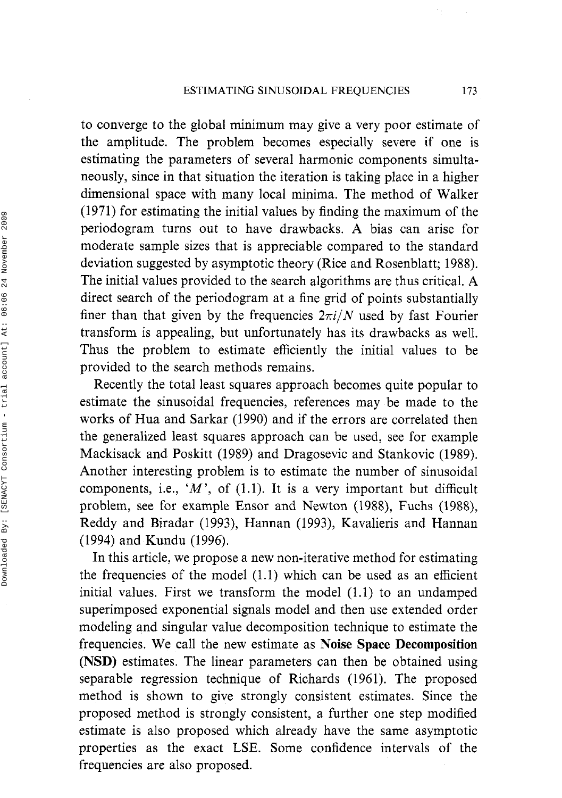to converge to the global minimum may give a very poor estimate of the amplitude. The problem becomes especially severe if one is estimating the parameters of several harmonic components simultaneously, since in that situation the iteration is taking place in a higher dimensional space with many local minima. The method of Walker (1971) for estimating the initial values by finding the maximum of the periodogram turns out to have drawbacks. A bias can arise for moderate sample sizes that is appreciable compared to the standard deviation suggested by asymptotic theory (Rice and Rosenblatt; 1988). The initial values provided to the search algorithms are thus critical. A direct search of the periodogram at a fine grid of points substantially finer than that given by the frequencies  $2\pi i/N$  used by fast Fourier transform is appealing, but unfortunately has its drawbacks as well. Thus the problem to estimate efficiently the initial values to be provided to the search methods remains.

Recently the total least squares approach becomes quite popular to estimate the sinusoidal frequencies, references may be made to the works of Hua and Sarkar (1990) and if the errors are correlated then the generalized least squares approach can be used, see for example Mackisack and Poskitt (1989) and Dragosevic and Stankovic (1989). Another interesting problem is to estimate the number of sinusoidal components, i.e., *'M',* of (1.1). It is a very important but difficult problem, see for example Ensor and Newton (1988), Fuchs (1988), Reddy and Biradar (1993), Hannan (1993), Kavalieris and Hannan (1994) and Kundu (1996).

In this article, we propose a new non-iterative method for estimating the frequencies of the model (1.1) which can be used as an efficient initial values. First we transform the model (1.1) to an undamped superimposed exponential signals model and then use extended order modeling and singular value decomposition technique to estimate the frequencies. We call the new estimate as **Noise Space Decomposition (NSD)** estimates. The linear parameters can then be obtained using separable regression technique of Richards (1961). The proposed method is shown to give strongly consistent estimates. Since the proposed method is strongly consistent, a further one step modified estimate is also proposed which already have the same asymptotic properties as the exact LSE. Some confidence intervals of the frequencies are also proposed.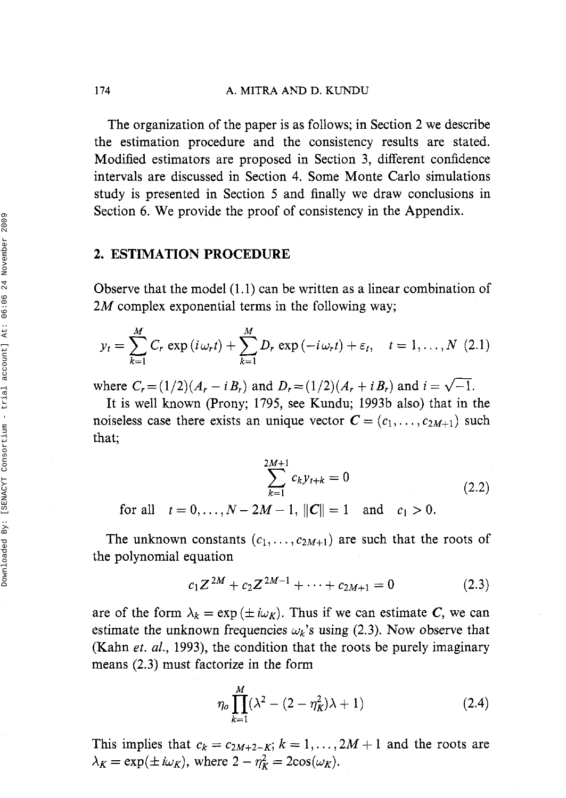**174 A. MITRA AND D. KUNDU** 

The organization of the paper is as follows; in Section 2 we describe the estimation procedure and the consistency results are stated. Modified estimators are proposed in Section 3, different confidence intervals are discussed in Section 4. Some Monte Carlo simulations study is presented in Section 5 and finally we draw conclusions in Section 6. We provide the proof of consistency in the Appendix.

### **2. ESTIMATION PROCEDURE**

Observe that the model (1.1) can be written as a linear combination of  $2M$  complex exponential terms in the following way;

$$
y_t = \sum_{k=1}^M C_r \exp(i\omega_r t) + \sum_{k=1}^M D_r \exp(-i\omega_r t) + \varepsilon_t, \quad t = 1, ..., N \text{ (2.1)}
$$

where  $C_r = (1/2)(A_r - iB_r)$  and  $D_r = (1/2)(A_r + iB_r)$  and  $i = \sqrt{-1}$ .

It is well known (Prony; 1795, see Kundu; 1993b also) that in the noiseless case there exists an unique vector  $C = (c_1, \ldots, c_{2M+1})$  such that;

$$
\sum_{k=1}^{2M+1} c_k y_{t+k} = 0
$$
\n
$$
\text{or all } t = 0, \dots, N - 2M - 1, ||C|| = 1 \text{ and } c_1 > 0.
$$
\n(2.2)

for all  $t=0, ..., N-2M-1, ||C||=1$  and  $c_1 >0$ .

The unknown constants  $(c_1, \ldots, c_{2M+1})$  are such that the roots of the polynomial equation

$$
c_1 Z^{2M} + c_2 Z^{2M-1} + \dots + c_{2M+1} = 0 \tag{2.3}
$$

are of the form  $\lambda_k = \exp(\pm i\omega_K)$ . Thus if we can estimate C, we can estimate the unknown frequencies  $\omega_k$ 's using (2.3). Now observe that (Kahn et. *al.,* 1993), the condition that the roots be purely imaginary means (2.3) must factorize in the form

$$
\eta_o \prod_{k=1}^{M} (\lambda^2 - (2 - \eta_K^2)\lambda + 1) \tag{2.4}
$$

This implies that  $c_k = c_{2M+2-K}$ ;  $k = 1, ..., 2M + 1$  and the roots are  $\lambda_K = \exp(\pm i\omega_K)$ , where  $2 - \eta_K^2 = 2\cos(\omega_K)$ .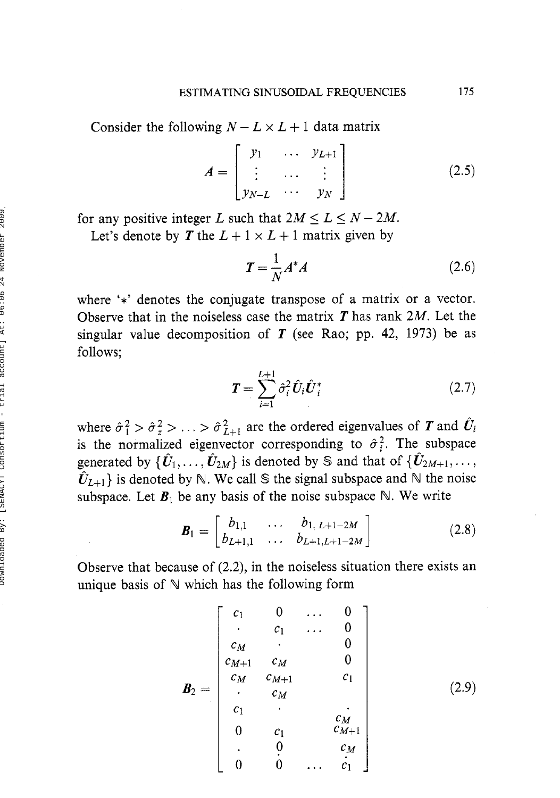Consider the following  $N - L \times L + 1$  data matrix

$$
A = \begin{bmatrix} y_1 & \cdots & y_{L+1} \\ \vdots & \cdots & \vdots \\ y_{N-L} & \cdots & y_N \end{bmatrix}
$$
 (2.5)

for any positive integer L such that  $2M \le L \le N - 2M$ .

Let's denote by T the  $L + 1 \times L + 1$  matrix given by

$$
T = \frac{1}{N} A^* A \tag{2.6}
$$

where '\*' denotes the conjugate transpose of a matrix or a vector. Observe that in the noiseless case the matrix  $T$  has rank  $2M$ . Let the singular value decomposition of  $T$  (see Rao; pp. 42, 1973) be as follows;

$$
T = \sum_{i=1}^{L+1} \hat{\sigma}_i^2 \hat{U}_i \hat{U}_i^*
$$
 (2.7)

where  $\hat{\sigma}_1^2 > \hat{\sigma}_2^2 > \ldots > \hat{\sigma}_{L+1}^2$  are the ordered eigenvalues of T and  $\hat{U}_i$ is the normalized eigenvector corresponding to  $\hat{\sigma}_i^2$ . The subspace generated by  $\{\hat{U}_1, \ldots, \hat{U}_{2M}\}\$ is denoted by S and that of  $\{\hat{U}_{2M+1}, \ldots, \}$  $\hat{U}_{L+1}$  is denoted by N. We call S the signal subspace and N the noise subspace. Let  $\mathbf{B}_1$  be any basis of the noise subspace N. We write

$$
\boldsymbol{B}_1 = \begin{bmatrix} b_{1,1} & \dots & b_{1,\ L+1-2M} \\ b_{L+1,1} & \dots & b_{L+1,L+1-2M} \end{bmatrix}
$$
 (2.8)

Observe that because of (2.2), in the noiseless situation there exists an unique basis of  $\mathbb N$  which has the following form

$$
\mathbf{B}_{2} = \begin{bmatrix} c_{1} & 0 & \cdots & 0 \\ \cdot & c_{1} & \cdots & 0 \\ c_{M} & \cdot & & 0 \\ c_{M+1} & c_{M} & & 0 \\ \cdot & c_{M} & & & c_{1} \\ \cdot & c_{M} & & & & c_{M} \\ c_{1} & \cdot & & & c_{M} \\ 0 & c_{1} & c_{M+1} & & & c_{1} \\ \cdot & 0 & c_{M} & & & c_{M} \\ 0 & 0 & \cdots & c_{1} & & & c_{M} \end{bmatrix} \qquad (2.9)
$$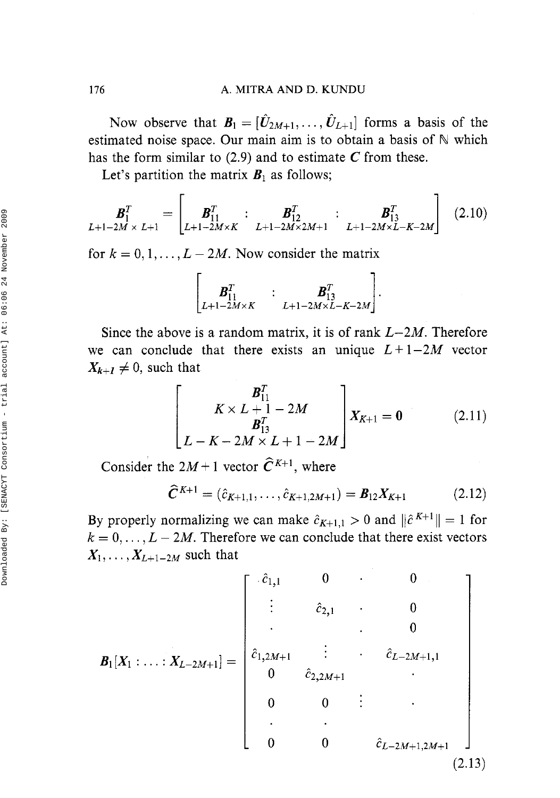Now observe that  $B_1 = [\hat{U}_{2M+1}, \dots, \hat{U}_{L+1}]$  forms a basis of the estimated noise space. Our main aim is to obtain a basis of  $\mathbb N$  which has the form similar to (2.9) and to estimate *C* from these.

Let's partition the matrix  $B_1$  as follows;

$$
\boldsymbol{B}_{1}^{T} = \begin{bmatrix} \boldsymbol{B}_{1}^{T} & \vdots & \boldsymbol{B}_{12}^{T} & \vdots & \boldsymbol{B}_{13}^{T} \\ L+1-2M\times K & L+1-2M\times 2M+1 & L+1-2M\times L-K-2M \end{bmatrix} (2.10)
$$

for  $k = 0, 1, \ldots, L - 2M$ . Now consider the matrix

$$
\begin{bmatrix} B_{11}^T & : & B_{13}^T \\ L_{+1-2M \times K} & L_{+1-2M \times L-K-2M} \end{bmatrix}
$$

Since the above is a random matrix, it is of rank  $L-2M$ . Therefore we can conclude that there exists an unique  $L+1-2M$  vector  $X_{k+1} \neq 0$ , such that

$$
\begin{bmatrix} B_{11}^T \\ K \times L + 1 - 2M \\ B_{13}^T \\ L - K - 2M \times L + 1 - 2M \end{bmatrix} X_{K+1} = 0
$$
 (2.11)

 $\blacksquare$ 

Consider the  $2M+1$  vector  $\hat{C}^{K+1}$ , where

$$
\hat{C}^{K+1} = (\hat{c}_{K+1,1}, \dots, \hat{c}_{K+1,2M+1}) = B_{12} X_{K+1}
$$
 (2.12)

By properly normalizing we can make  $\hat{c}_{K+1,1} > 0$  and  $\|\hat{c}^{K+1}\| = 1$  for  $k = 0, \ldots, L - 2M$ . Therefore we can conclude that there exist vectors  $X_1, \ldots, X_{L+1-2M}$  such that

$$
\boldsymbol{B}_{1}[X_{1} : \ldots : X_{L-2M+1}] = \begin{bmatrix} \hat{c}_{1,1} & 0 & \cdots & 0 \\ \vdots & \hat{c}_{2,1} & \cdots & 0 \\ \vdots & \vdots & \ddots & 0 \\ \hat{c}_{1,2M+1} & \vdots & \hat{c}_{L-2M+1,1} \\ 0 & \hat{c}_{2,2M+1} & \cdots \\ 0 & 0 & \vdots \\ \vdots & \vdots & \ddots \\ 0 & 0 & \hat{c}_{L-2M+1,2M+1} \end{bmatrix}
$$
\n
$$
(2.13)
$$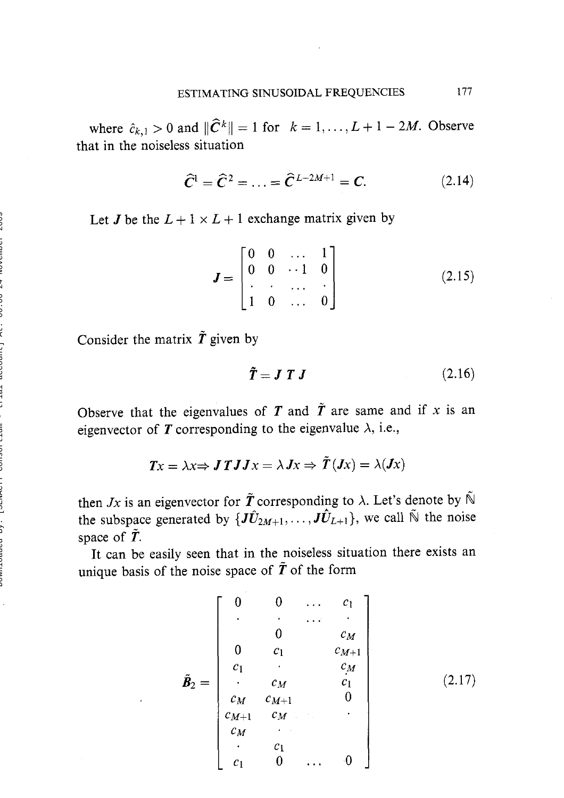where  $\hat{c}_{k,1} > 0$  and  $\|\hat{C}^k\| = 1$  for  $k = 1, \ldots, L + 1 - 2M$ . Observe that in the noiseless situation

$$
\widehat{C}^1 = \widehat{C}^2 = \ldots = \widehat{C}^{L-2M+1} = C. \tag{2.14}
$$

Let *J* be the  $L + 1 \times L + 1$  exchange matrix given by

$$
\mathbf{J} = \begin{bmatrix} 0 & 0 & \dots & 1 \\ 0 & 0 & \dots & 1 \\ \vdots & \vdots & \dots & \vdots \\ 1 & 0 & \dots & 0 \end{bmatrix}
$$
 (2.15)

Consider the matrix  $\tilde{T}$  given by

$$
\tilde{T} = J T J \tag{2.16}
$$

Observe that the eigenvalues of T and  $\tilde{T}$  are same and if x is an eigenvector of  $\boldsymbol{T}$  corresponding to the eigenvalue  $\lambda$ , i.e.,

$$
Tx = \lambda x \Rightarrow J \mathit{T} J J x = \lambda J x \Rightarrow \mathit{T} (J x) = \lambda (J x)
$$

then *Jx* is an eigenvector for  $\tilde{T}$  corresponding to  $\lambda$ . Let's denote by  $\tilde{N}$ the subspace generated by  $\{J\hat{U}_{2M+1}, \ldots, J\hat{U}_{L+1}\}$ , we call  $\tilde{N}$  the noise space of *T.* 

It can be easily seen that in the noiseless situation there exists an unique basis of the noise space of  $\tilde{T}$  of the form

$$
\tilde{B}_2 = \begin{bmatrix}\n0 & 0 & \cdots & c_1 \\
\vdots & \vdots & \ddots & \vdots \\
0 & c_1 & c_M \\
c_1 & \vdots & c_M \\
\vdots & \vdots & \vdots \\
c_M & c_{M+1} & 0 \\
c_M & \vdots & \vdots \\
c_M & \vdots & \vdots \\
c_M & \vdots & \vdots \\
c_1 & 0 & \cdots & 0\n\end{bmatrix}
$$
\n(2.17)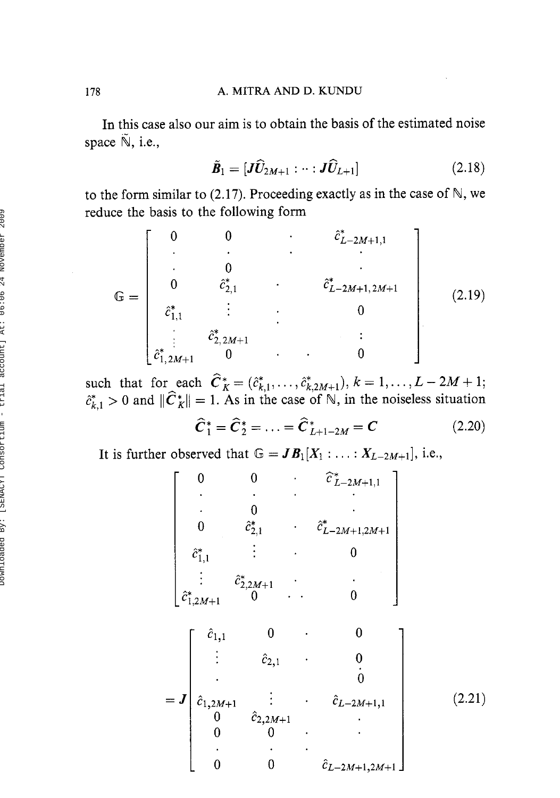In this case also our aim is to obtain the basis of the estimated noise space  $\tilde{\mathbb{N}}$ , i.e.,

$$
\tilde{\boldsymbol{B}}_1 = [\boldsymbol{J}\widehat{\boldsymbol{U}}_{2M+1} : \cdots : \boldsymbol{J}\widehat{\boldsymbol{U}}_{L+1}]
$$
\n(2.18)

to the form similar to *(2.17).* Proceeding exactly as in the case of N, we reduce the basis to the following form

$$
\mathbb{G} = \begin{bmatrix} 0 & 0 & \cdots & \hat{c}_{L-2M+1,1}^{*} \\ \cdot & \cdot & \cdot & \cdot \\ 0 & \hat{c}_{2,1}^{*} & \cdot & \hat{c}_{L-2M+1,2M+1}^{*} \\ \hat{c}_{1,1}^{*} & \vdots & \cdot & \cdot & 0 \\ \vdots & \hat{c}_{2,2M+1}^{*} & 0 & \cdot & \cdot & 0 \end{bmatrix}
$$
(2.19)

such that for each  $\hat{C}_K^* = (\hat{c}_{k,1}^*, \dots, \hat{c}_{k,2M+1}^*, k = 1, \dots, L - 2M + 1;$  $E_{k,1}^* > 0$  and  $\|\hat{C}_K^*\| = 1$ . As in the case of  $\mathbb{N}$ , in the noiseless situation

$$
\hat{C}_1^* = \hat{C}_2^* = \dots = \hat{C}_{L+1-2M}^* = C \tag{2.20}
$$

It is further observed that  $\mathbb{G} = JB_1[X_1 : \dots : X_{L-2M+1}],$  i.e.,

$$
\begin{bmatrix}\n0 & 0 & \hat{c}_{L-2M+1,1}^{*} \\
\vdots & 0 & \vdots \\
0 & \hat{c}_{2,1}^{*} & \hat{c}_{L-2M+1,2M+1}^{*} \\
\vdots & \vdots & \vdots \\
\hat{c}_{1,1}^{*} & \hat{c}_{2,2M+1}^{*} & \cdots & 0 \\
\vdots & \hat{c}_{2,1}^{*} & 0 & 0\n\end{bmatrix}
$$
\n
$$
= J \begin{bmatrix}\n\hat{c}_{1,1} & 0 & 0 \\
\hat{c}_{1,2M+1} & \hat{c}_{1,2M+1} & \cdots & 0 \\
\vdots & \vdots & \vdots \\
0 & 0 & \vdots \\
0 & 0 & \cdots\n\end{bmatrix}
$$
\n
$$
(2.21)
$$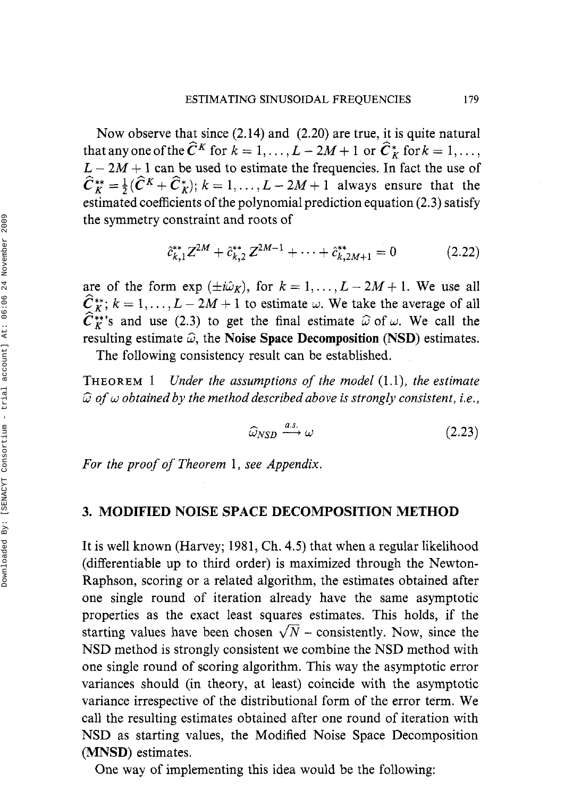Now observe that since (2.14) and (2.20) are true, it is quite natural that any one of the  $\tilde{C}^K$  for  $k = 1, ..., L - 2M + 1$  or  $\tilde{C}_K^*$  for  $k = 1, ...,$  $L - 2M + 1$  can be used to estimate the frequencies. In fact the use of  $\hat{C}_{K}^{**} = \frac{1}{2}(\hat{C}^{K} + \hat{C}_{K}^{*}); k = 1, \ldots, L - 2M + 1$  always ensure that the estimated coefficients of the polynomial prediction equation (2.3) satisfy the symmetry constraint and roots of

$$
\hat{c}_{k,1}^{**}Z^{2M} + \hat{c}_{k,2}^{**}Z^{2M-1} + \cdots + \hat{c}_{k,2M+1}^{**} = 0 \qquad (2.22)
$$

are of the form  $\exp(\pm i\hat{\omega}_K)$ , for  $k = 1, ..., L - 2M + 1$ . We use all  $\hat{C}_{K}^{**}$ ;  $k = 1, \ldots, L - 2M + 1$  to estimate w. We take the average of all  $\hat{C}_{K}^{**}$ 's and use (2.3) to get the final estimate  $\hat{\omega}$  of  $\omega$ . We call the resulting estimate  $\hat{\omega}$ , the Noise Space Decomposition (NSD) estimates.

The following consistency result can be established.

THEOREM 1*Under the assumptions of the model* (1.1), *the estimate*   $\widehat{\omega}$  of  $\omega$  obtained by the method described above is strongly consistent, i.e.,

$$
\widehat{\omega}_{NSD} \stackrel{a.s.}{\longrightarrow} \omega \tag{2.23}
$$

*For the proof of Theorem* 1, *see Appendix.* 

### **3.** MODIFIED NOISE SPACE DECOMPOSITION METHOD

It is well known (Harvey; 1981, Ch. **4.5)** that when a regular likelihood (differentiable up to third order) is maximized through the Newton-Raphson, scoring or a related algorithm, the estimates obtained after one single round of iteration already have the same asymptotic properties as the exact least squares estimates. This holds, if the starting values have been chosen  $\sqrt{N}$  - consistently. Now, since the NSD method is strongly consistent we combine the NSD method with one single round of scoring algorithm. This way the asymptotic error variances should (in theory, at least) coincide with the asymptotic variance irrespective of the distributional form of the error term. We call the resulting estimates obtained after one round of iteration with NSD as starting values, the Modified Noise Space Decomposition (MNSD) estimates.

One way of implementing this idea would be the following: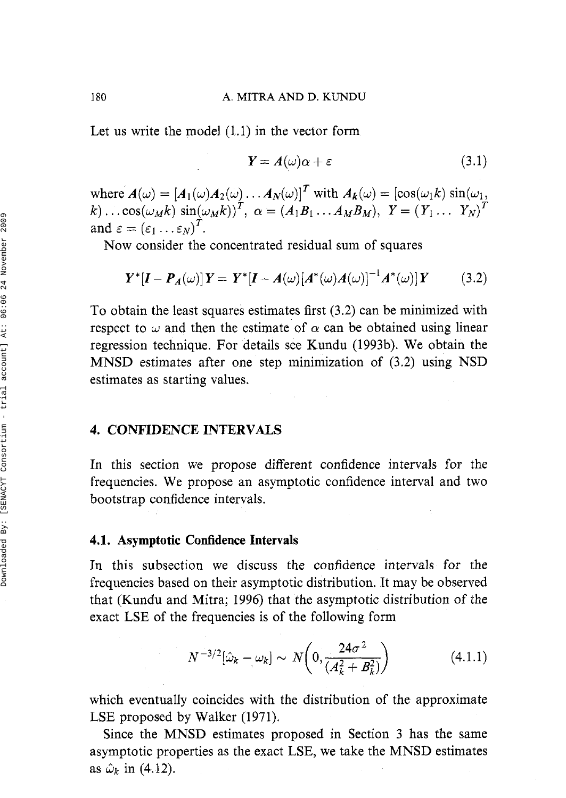Let us write the model (1.1) in the vector form

$$
Y = A(\omega)\alpha + \varepsilon \tag{3.1}
$$

where  $A(\omega) = [A_1(\omega)A_2(\omega) \dots A_N(\omega)]^T$  with  $A_k(\omega) = [\cos(\omega_1 k) \sin(\omega_1,$  $k) \dots \cos(\omega_M k) \sin(\omega_M k))^T$ ,  $\alpha = (A_1 B_1 \dots A_M B_M)$ ,  $Y = (Y_1 \dots Y_N)^T$ and  $\varepsilon = (\varepsilon_1 \dots \varepsilon_N)^T$ .

Now consider the concentrated residual sum of squares

$$
Y^*[I - P_A(\omega)]Y = Y^*[I - A(\omega)[A^*(\omega)A(\omega)]^{-1}A^*(\omega)]Y
$$
 (3.2)

To obtain the least squares estimates first (3.2) can be minimized with respect to  $\omega$  and then the estimate of  $\alpha$  can be obtained using linear regression technique. For details see Kundu (1993b). We obtain the MNSD estimates after one step minimization of (3.2) using NSD estimates as starting values.

## **4. CONFIDENCE INTERVALS**

In this section we propose different confidence intervals for the frequencies. We propose an asymptotic confidence interval and two bootstrap confidence intervals.

### **4.1. Asymptotic Confidence Intervals**

In this subsection we discuss the confidence intervals for the frequencies based on their asymptotic distribution. It may be observed that (Kundu and Mitra; 1996) that the asymptotic distribution of the exact LSE of the frequencies is of the following form

$$
N^{-3/2}[\hat{\omega}_k - \omega_k] \sim N\left(0, \frac{24\sigma^2}{\left(A_k^2 + B_k^2\right)}\right) \tag{4.1.1}
$$

which eventually coincides with the distribution of the approximate LSE proposed by Walker (1971).

Since the MNSD estimates proposed in Section 3 has the same asymptotic properties as the exact LSE, we take the MNSD estimates as  $\hat{\omega}_k$  in (4.12).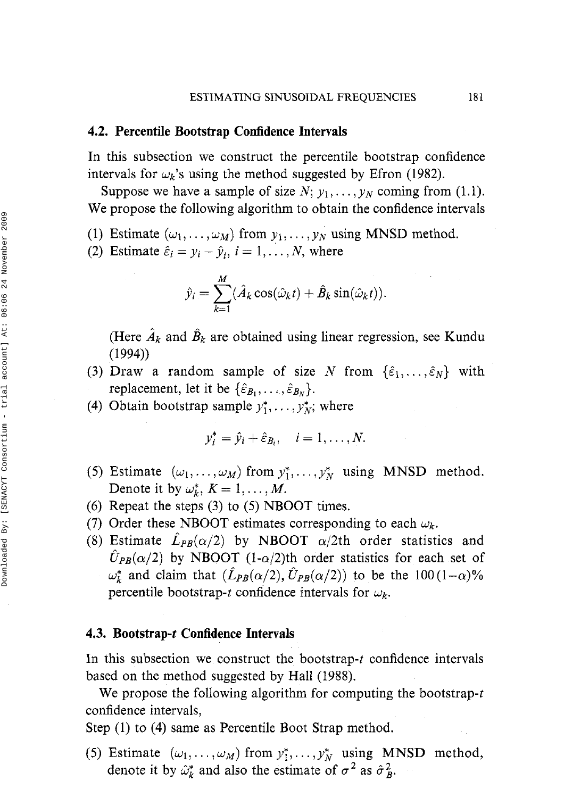#### **4.2. Percentile Bootstrap Confidence Intervals**

In this subsection we construct the percentile bootstrap confidence intervals for  $\omega_k$ 's using the method suggested by Efron (1982).

Suppose we have a sample of size  $N$ ;  $y_1, \ldots, y_N$  coming from (1.1). We propose the following algorithm to obtain the confidence intervals

- (1) Estimate  $(\omega_1, \ldots, \omega_M)$  from  $y_1, \ldots, y_N$  using MNSD method.
- (2) Estimate  $\hat{\varepsilon}_i = y_i \hat{y}_i$ ,  $i = 1, ..., N$ , where

$$
\hat{y}_i = \sum_{k=1}^M (\hat{A}_k \cos(\hat{\omega}_k t) + \hat{B}_k \sin(\hat{\omega}_k t)).
$$

(Here  $\hat{A}_k$  and  $\hat{B}_k$  are obtained using linear regression, see Kundu (1994))

- (3) Draw a random sample of size N from  $\{\hat{\varepsilon}_1, \dots, \hat{\varepsilon}_N\}$  with replacement, let it be  $\{\hat{\varepsilon}_{B_1}, \ldots, \hat{\varepsilon}_{B_N}\}.$
- (4) Obtain bootstrap sample  $y_1^*, \ldots, y_N^*$ ; where

$$
y_i^* = \hat{y}_i + \hat{\varepsilon}_{B_i}, \quad i = 1, \ldots, N.
$$

- (5) Estimate  $(\omega_1, \ldots, \omega_M)$  from  $y_1^*, \ldots, y_N^*$  using MNSD method. Denote it by  $\omega_k^*$ ,  $K = 1, \ldots, M$ .
- (6) Repeat the steps **(3)** to (5) NBOOT times.
- (7) Order these NBOOT estimates corresponding to each  $\omega_k$ .
- (8) Estimate  $\hat{L}_{PB}(\alpha/2)$  by NBOOT  $\alpha/2$ th order statistics and  $\hat{U}_{PB}(\alpha/2)$  by NBOOT (1- $\alpha/2$ )th order statistics for each set of  $\omega_k^*$  and claim that  $(\hat{L}_{PB}(\alpha/2), \hat{U}_{PB}(\alpha/2))$  to be the 100(1- $\alpha$ )% percentile bootstrap-t confidence intervals for  $\omega_k$ .

#### **4.3. Bootstrap-t Confidence Intervals**

In this subsection we construct the bootstrap-t confidence intervals based on the method suggested by Hall (1988).

We propose the following algorithm for computing the bootstrap-t confidence intervals,

Step (1) to (4) same as Percentile Boot Strap method.

(5) Estimate  $(\omega_1, \dots, \omega_M)$  from  $y_1^*, \dots, y_N^*$  using MNSD method, denote it by  $\hat{\omega}_k^*$  and also the estimate of  $\sigma^2$  as  $\hat{\sigma}_k^2$ .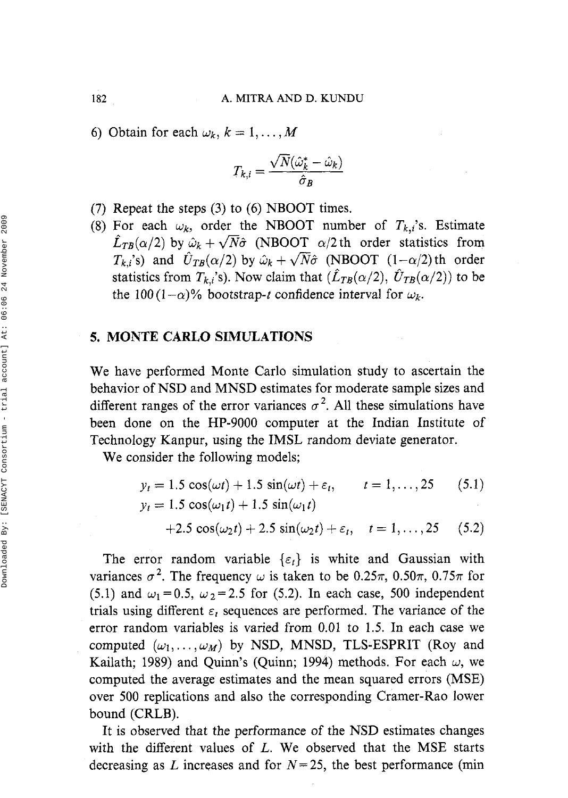6) Obtain for each  $\omega_k$ ,  $k = 1, \ldots, M$ 

$$
T_{k,i} = \frac{\sqrt{N}(\hat{\omega}_k^*-\hat{\omega}_k)}{\hat{\sigma}_B}
$$

- (7) Repeat the steps **(3)** to (6) NBOOT times.
- (8) For each  $\omega_k$ , order the NBOOT number of  $T_{k,i}$ 's. Estimate  $\hat{L}_{TB}(\alpha/2)$  by  $\hat{\omega}_k + \sqrt{N}\hat{\sigma}$  (NBOOT  $\alpha/2$  th order statistics from  $T_{ki}$ 's) and  $\hat{U}_{TB}(\alpha/2)$  by  $\hat{\omega}_k + \sqrt{N}\hat{\sigma}$  (NBOOT  $(1-\alpha/2)$ ) th order statistics from  $T_{k,i}$ 's). Now claim that  $(\hat{L}_{TB}(\alpha/2), \hat{U}_{TB}(\alpha/2))$  to be the 100 (1- $\alpha$ )% bootstrap-t confidence interval for  $\omega_k$ .

## **5. MONTE CARL0 SIMULATIONS**

We have performed Monte Carlo simulation study to ascertain the behavior of NSD and MNSD estimates for moderate sample sizes and different ranges of the error variances  $\sigma^2$ . All these simulations have been done on the HP-9000 computer at the Indian Institute of Technology Kanpur, using the IMSL random deviate generator.

We consider the following models;

$$
y_t = 1.5 \cos(\omega t) + 1.5 \sin(\omega t) + \varepsilon_t, \qquad t = 1, ..., 25 \qquad (5.1)
$$
  

$$
y_t = 1.5 \cos(\omega_1 t) + 1.5 \sin(\omega_1 t)
$$
  

$$
+2.5 \cos(\omega_2 t) + 2.5 \sin(\omega_2 t) + \varepsilon_t, \qquad t = 1, ..., 25 \qquad (5.2)
$$

The error random variable  $\{\varepsilon_t\}$  is white and Gaussian with variances  $\sigma^2$ . The frequency  $\omega$  is taken to be 0.25 $\pi$ , 0.50 $\pi$ , 0.75 $\pi$  for (5.1) and  $\omega_1 = 0.5$ ,  $\omega_2 = 2.5$  for (5.2). In each case, 500 independent trials using different  $\varepsilon_t$  sequences are performed. The variance of the error random variables is varied from 0.01 to 1.5. In each case we computed  $(\omega_1, \ldots, \omega_M)$  by NSD, MNSD, TLS-ESPRIT (Roy and Kailath; 1989) and Quinn's (Quinn; 1994) methods. For each  $\omega$ , we computed the average estimates and the mean squared errors (MSE) over 500 replications and also the corresponding Cramer-Rao lower bound (CRLB).

It is observed that the performance of the NSD estimates changes with the different values of L. We observed that the MSE starts decreasing as L increases and for  $N=25$ , the best performance (min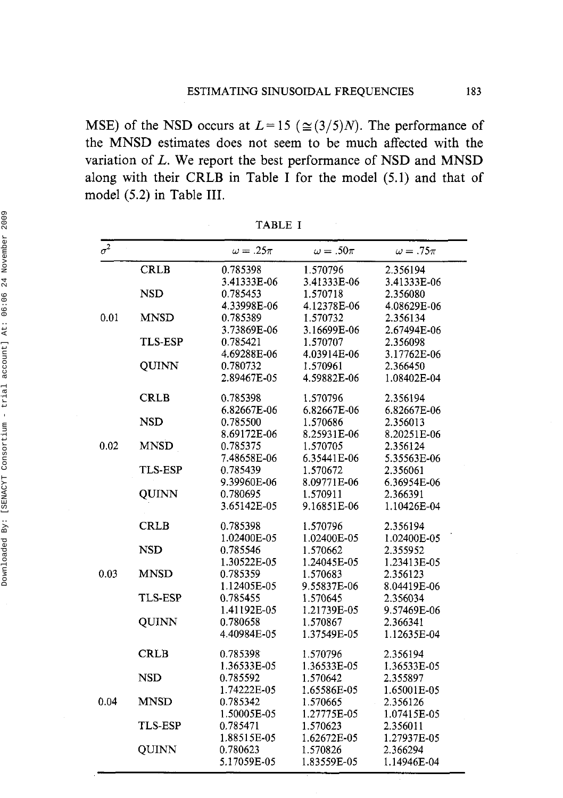MSE) of the NSD occurs at  $L=15$  ( $\approx$ (3/5)N). The performance of the MNSD estimates does not seem to be much affected with the variation of L. We report the best performance of NSD and MNSD along with their CRLB in Table I for the model (5.1) and that of model *(5.2)* in Table **111.** 

| $\sigma^2$ |                | $\omega = .25\pi$ | $\omega = .50\pi$ | $\omega = .75\pi$ |
|------------|----------------|-------------------|-------------------|-------------------|
|            | <b>CRLB</b>    | 0.785398          | 1.570796          | 2.356194          |
|            |                | 3.41333E-06       | 3.41333E-06       | 3.41333E-06       |
|            | <b>NSD</b>     | 0.785453          | 1.570718          | 2.356080          |
|            |                | 4.33998E-06       | 4.12378E-06       | 4.08629E-06       |
| 0.01       | <b>MNSD</b>    | 0.785389          | 1.570732          | 2.356134          |
|            |                | 3.73869E-06       | 3.16699E-06       | 2.67494E-06       |
|            | TLS-ESP        | 0.785421          | 1.570707          | 2.356098          |
|            |                | 4.69288E-06       | 4.03914E-06       | 3.17762E-06       |
|            | QUINN          | 0.780732          | 1.570961          | 2.366450          |
|            |                | 2.89467E-05       | 4.59882E-06       | 1.08402E-04       |
|            | <b>CRLB</b>    | 0.785398          | 1.570796          | 2.356194          |
|            |                | 6.82667E-06       | 6.82667E-06       | 6.82667E-06       |
|            | <b>NSD</b>     | 0.785500          | 1.570686          | 2.356013          |
|            |                | 8.69172E-06       | 8.25931E-06       | 8.20251E-06       |
| 0.02       | <b>MNSD</b>    | 0.785375          | 1.570705          | 2.356124          |
|            |                | 7.48658E-06       | 6.35441E-06       | 5.35563E-06       |
|            | <b>TLS-ESP</b> | 0.785439          | 1.570672          | 2.356061          |
|            |                | 9.39960E-06       | 8.09771E-06       | 6.36954E-06       |
|            | <b>QUINN</b>   | 0.780695          | 1.570911          | 2.366391          |
|            |                | 3.65142E-05       | 9.16851E-06       | 1.10426E-04       |
|            | <b>CRLB</b>    | 0.785398          | 1.570796          | 2.356194          |
|            |                | 1.02400E-05       | 1.02400E-05       | 1.02400E-05       |
|            | <b>NSD</b>     | 0.785546          | 1.570662          | 2.355952          |
|            |                | 1.30522E-05       | 1.24045E-05       | 1.23413E-05       |
| 0.03       | <b>MNSD</b>    | 0.785359          | 1.570683          | 2.356123          |
|            |                | 1.12405E-05       | 9.55837E-06       | 8.04419E-06       |
|            | <b>TLS-ESP</b> | 0.785455          | 1.570645          | 2.356034          |
|            |                | 1.41192E-05       | 1.21739E-05       | 9.57469E-06       |
|            | QUINN          | 0.780658          | 1.570867          | 2.366341          |
|            |                | 4.40984E-05       | 1.37549E-05       | 1.12635E-04       |
|            | <b>CRLB</b>    | 0.785398          | 1.570796          | 2.356194          |
|            |                | 1.36533E-05       | 1.36533E-05       | 1.36533E-05       |
|            | <b>NSD</b>     | 0.785592          | 1.570642          | 2.355897          |
|            |                | 1.74222E-05       | 1.65586E-05       | 1.65001E-05       |
| 0.04       | <b>MNSD</b>    | 0.785342          | 1.570665          | 2.356126          |
|            |                | 1.50005E-05       | 1.27775E-05       | 1.07415E-05       |
|            | <b>TLS-ESP</b> | 0.785471          | 1.570623          | 2.356011          |
|            |                | 1.88515E-05       | 1.62672E-05       | 1.27937E-05       |
|            | <b>QUINN</b>   | 0.780623          | 1.570826          | 2.366294          |
|            |                | 5.17059E-05       | 1.83559E-05       | 1.14946E-04       |

TABLE I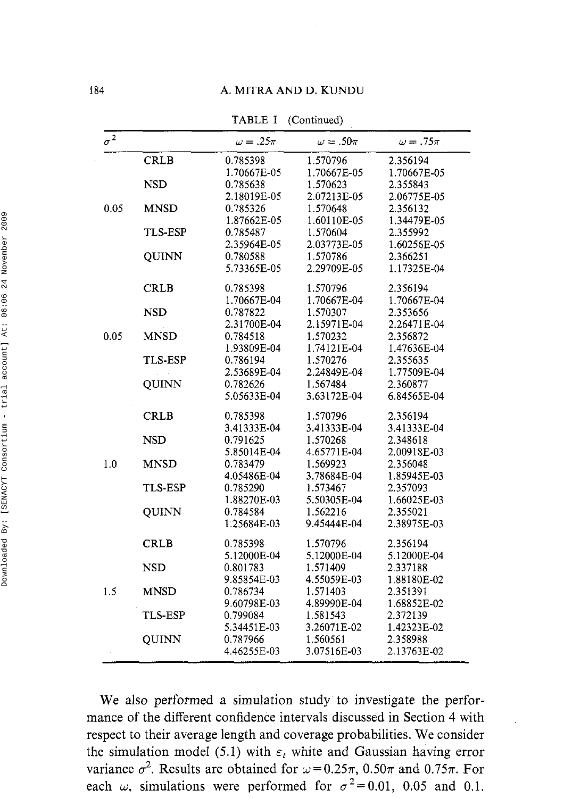#### 184 **A. MITRA AND D. KUNDU**

TABLE I (Continued)

| $\sigma^2$ |                | $\omega = .25\pi$ | $\omega = .50\pi$ | $\omega = .75\pi$ |
|------------|----------------|-------------------|-------------------|-------------------|
|            |                |                   |                   |                   |
|            | <b>CRLB</b>    | 0.785398          | 1.570796          | 2.356194          |
|            |                | 1.70667E-05       | 1.70667E-05       | 1.70667E-05       |
|            | <b>NSD</b>     | 0.785638          | 1.570623          | 2.355843          |
|            |                | 2.18019E-05       | 2.07213E-05       | 2.06775E-05       |
| 0.05       | <b>MNSD</b>    | 0.785326          | 1.570648          | 2.356132          |
|            |                | 1.87662E-05       | 1.60110E-05       | 1.34479E-05       |
|            | TLS-ESP        | 0.785487          | 1.570604          | 2.355992          |
|            |                | 2.35964E-05       | 2.03773E-05       | 1.60256E-05       |
|            | QUINN          | 0.780588          | 1.570786          | 2.366251          |
|            |                | 5.73365E-05       | 2.29709E-05       | 1.17325E-04       |
|            | CRLB           | 0.785398          | 1.570796          | 2.356194          |
|            |                | 1.70667E-04       | 1.70667E-04       | 1.70667E-04       |
|            | <b>NSD</b>     | 0.787822          | 1.570307          | 2.353656          |
|            |                | 2.31700E-04       | 2.15971E-04       | 2.26471E-04       |
| 0.05       | <b>MNSD</b>    | 0.784518          | 1.570232          | 2.356872          |
|            |                | 1.93809E-04       | 1.74121E-04       | 1.47636E-04       |
|            | <b>TLS-ESP</b> | 0.786194          | 1 570276          | 2.355635          |
|            |                | 2.53689E-04       | 2.24849E-04       | 1.77509E-04       |
|            | QUINN          | 0.782626          | 1.567484          | 2.360877          |
|            |                | 5.05633E-04       | 3.63172E-04       | 6.84565E-04       |
|            | <b>CRLB</b>    | 0.785398          | 1.570796          | 2.356194          |
|            |                | 3.41333E-04       | 3.41333E-04       | 3.41333E-04       |
|            | <b>NSD</b>     | 0.791625          | 1.570268          | 2.348618          |
|            |                | 5.85014E-04       | 4.65771E-04       | 2.00918E-03       |
| 1.0        | <b>MNSD</b>    | 0.783479          | 1.569923          | 2.356048          |
|            |                | 4.05486E-04       | 3.78684E-04       | 1.85945E-03       |
|            | <b>TLS-ESP</b> | 0.785290          | 1.573467          | 2.357093          |
|            |                | 1.88270E-03       | 5.50305E-04       | 1.66025E-03       |
|            | <b>OUINN</b>   | 0.784584          | 1.562216          | 2.355021          |
|            |                | 1.25684E-03       | 9.45444E-04       | 2.38975E-03       |
|            | <b>CRLB</b>    | 0.785398          | 1.570796          | 2.356194          |
|            |                | 5.12000E-04       | 5.12000E-04       | 5.12000E-04       |
|            | <b>NSD</b>     | 0.801783          | 1.571409          | 2.337188          |
|            |                | 9.85854E-03       | 4.55059E-03       | 1.88180E-02       |
| 1.5        | <b>MNSD</b>    | 0.786734          | 1.571403          | 2.351391          |
|            |                | 9.60798E-03       | 4.89990E-04       | 1.68852E-02       |
|            | TLS-ESP        | 0.799084          | 1.581543          | 2.372139          |
|            |                | 5.34451E-03       | 3.26071E-02       | 1.42323E-02       |
|            | OUINN          | 0.787966          | 1.560561          | 2.358988          |
|            |                | 4.46255E-03       | 3.07516E-03       | 2.13763E-02       |
|            |                |                   |                   |                   |

We also performed a simulation study to investigate the performance of the different confidence intervals discussed in Section 4 with respect to their average length and coverage probabilities. We consider the simulation model (5.1) with  $\varepsilon_t$  white and Gaussian having error variance  $\sigma^2$ . Results are obtained for  $\omega = 0.25\pi$ , 0.50 $\pi$  and 0.75 $\pi$ . For each  $\omega$ , simulations were performed for  $\sigma^2 = 0.01$ , 0.05 and 0.1.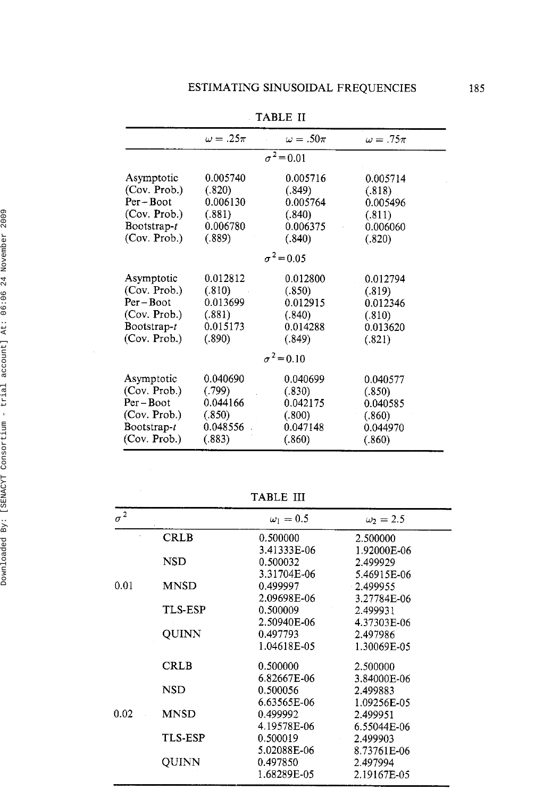|                | $\omega = .25\pi$ | $\omega = .50\pi$ | $\omega = .75\pi$ |  |
|----------------|-------------------|-------------------|-------------------|--|
|                |                   | $\sigma^2 = 0.01$ |                   |  |
| Asymptotic     | 0.005740          | 0.005716          | 0.005714          |  |
| (Cov. Prob.)   | (.820)            | (.849)            | (.818)            |  |
| Per-Boot       | 0.006130          | 0.005764          | 0.005496          |  |
| (Cov. Prob.)   | (.881)            | (.840)            | (.811)            |  |
| Bootstrap- $t$ | 0.006780          | 0.006375          | 0.006060          |  |
| (Cov. Prob.)   | (.889)            | (.840)            | (.820)            |  |
|                |                   | $\sigma^2 = 0.05$ |                   |  |
| Asymptotic     | 0.012812          | 0.012800          | 0.012794          |  |
| (Cov. Prob.)   | (.810)            | (.850)            | (.819)            |  |
| Per – Boot     | 0.013699          | 0.012915          | 0.012346          |  |
| (Cov. Prob.)   | (.881)            | (.840)            | (.810)            |  |
| Bootstrap-t    | 0.015173          | 0.014288          | 0.013620          |  |
| (Cov. Prob.)   | (.890)            | (.849)            | (.821)            |  |
|                |                   | $\sigma^2 = 0.10$ |                   |  |
| Asymptotic     | 0.040690          | 0.040699          | 0.040577          |  |
| (Cov. Prob.)   | (.799)            | (.830)            | (.850)            |  |
| Per – Boot     | 0.044166          | 0.042175          | 0.040585          |  |
| (Cov. Prob.)   | (.850)            | (.800)            | (.860)            |  |
| Bootstrap-t    | 0.048556          | 0.047148          | 0.044970          |  |
| (Cov. Prob.)   | (.883)            | (.860)            | (.860)            |  |
|                |                   |                   |                   |  |

TABLE I1

TABLE III

| $\sigma^2$ |                | $\omega_1=0.5$ | $\omega_2 = 2.5$ |  |
|------------|----------------|----------------|------------------|--|
|            | CRLB           | 0.500000       | 2.500000         |  |
|            |                | 3.41333E-06    | 1.92000E-06      |  |
|            | <b>NSD</b>     | 0.500032       | 2.499929         |  |
|            |                | 3.31704E-06    | 5.46915E-06      |  |
| 0.01       | MNSD           | 0.499997       | 2.499955         |  |
|            |                | 2.09698E-06    | 3.27784E-06      |  |
|            | <b>TLS-ESP</b> | 0.500009       | 2.499931         |  |
|            |                | 2.50940E-06    | 4.37303E-06      |  |
|            | QUINN          | 0.497793       | 2.497986         |  |
|            |                | 1.04618E-05    | 1.30069E-05      |  |
|            | <b>CRLB</b>    | 0.500000       | 2.500000         |  |
|            |                | 6.82667E-06    | 3.84000E-06      |  |
|            | NSD            | 0.500056       | 2.499883         |  |
|            |                | 6.63565E-06    | 1.09256E-05      |  |
| 0.02       | MNSD           | 0.499992       | 2.499951         |  |
|            |                | 4.19578E-06    | 6.55044E-06      |  |
|            | <b>TLS-ESP</b> | 0.500019       | 2.499903         |  |
|            |                | 5.02088E-06    | 8.73761E-06      |  |
|            | OUINN          | 0.497850       | 2.497994         |  |
|            |                | 1.68289E-05    | 2.19167E-05      |  |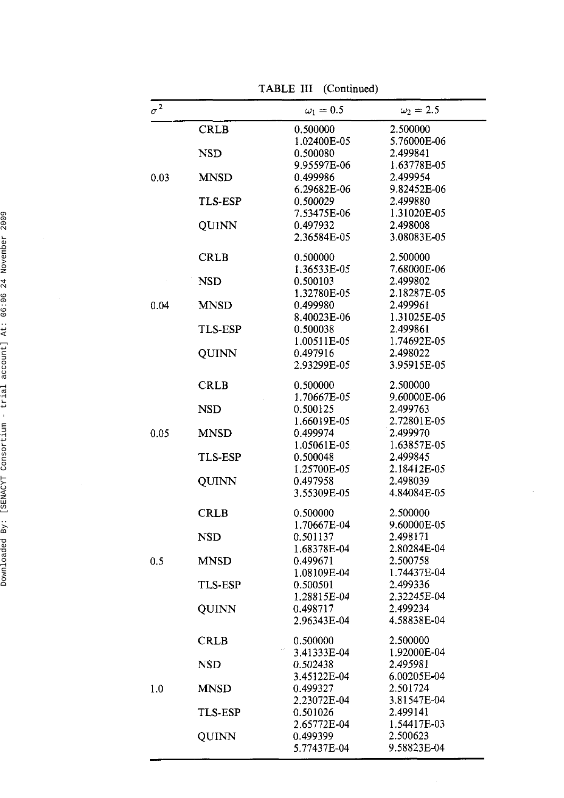TABLE III (Continued)

| $\sigma^2$ |                | $\omega_1=0.5$ | $\omega_2 = 2.5$ |
|------------|----------------|----------------|------------------|
|            | CRLB           | 0.500000       | 2.500000         |
|            |                | 1.02400E-05    | 5.76000E-06      |
|            | NSD            | 0.500080       | 2.499841         |
|            |                | 9.95597E-06    | 1.63778E-05      |
| 0.03       | <b>MNSD</b>    | 0.499986       | 2.499954         |
|            |                | 6.29682E-06    | 9.82452E-06      |
|            | TLS-ESP        | 0.500029       | 2.499880         |
|            |                | 7.53475E-06    | 1.31020E-05      |
|            | QUINN          | 0.497932       | 2.498008         |
|            |                | 2.36584E-05    | 3.08083E-05      |
|            | CRLB           | 0.500000       | 2.500000         |
|            |                | 1.36533E-05    | 7.68000E-06      |
|            | <b>NSD</b>     | 0.500103       | 2.499802         |
|            |                | 1.32780E-05    | 2.18287E-05      |
| 0.04       | <b>MNSD</b>    | 0.499980       | 2.499961         |
|            |                | 8.40023E-06    | 1.31025E-05      |
|            | <b>TLS-ESP</b> | 0.500038       | 2.499861         |
|            |                | 1.00511E-05    | 1.74692E-05      |
|            | QUINN          | 0.497916       | 2.498022         |
|            |                | 2.93299E-05    | 3.95915E-05      |
|            | <b>CRLB</b>    | 0.500000       | 2.500000         |
|            |                | 1.70667E-05    | 9.60000E-06      |
|            | <b>NSD</b>     | 0.500125       | 2.499763         |
|            |                | 1.66019E-05    | 2.72801E-05      |
| 0.05       | <b>MNSD</b>    | 0.499974       | 2.499970         |
|            |                | 1.05061E-05    | 1.63857E-05      |
|            | TLS-ESP        | 0.500048       | 2.499845         |
|            |                | 1.25700E-05    | 2.18412E-05      |
|            | QUINN          | 0.497958       | 2.498039         |
|            |                | 3.55309E-05    | 4.84084E-05      |
|            | <b>CRLB</b>    | 0.500000       | 2.500000         |
|            |                | 1.70667E-04    | 9.60000E-05      |
|            | NSD            | 0.501137       | 2.498171         |
|            |                | 1.68378E-04    | 2.80284E-04      |
| 0.5        | <b>MNSD</b>    | 0.499671       | 2.500758         |
|            |                | 1.08109E-04    | 1.74437E-04      |
|            | <b>TLS-ESP</b> | 0.500501       | 2.499336         |
|            |                | 1.28815E-04    | 2.32245E-04      |
|            | QUINN          | 0.498717       | 2.499234         |
|            |                | 2.96343E-04    | 4.58838E-04      |
|            | CRLB           | 0.500000       | 2.500000         |
|            |                | 3.41333E-04    | 1.92000E-04      |
|            | NSD            | 0.502438       | 2.495981         |
|            |                | 3.45122E-04    | 6.00205E-04      |
| 1.0        | <b>MNSD</b>    | 0.499327       | 2.501724         |
|            | <b>TLS-ESP</b> | 2.23072E-04    | 3.81547E-04      |
|            |                | 0.501026       | 2.499141         |
|            |                | 2.65772E-04    | 1.54417E-03      |
|            | OUINN          | 0.499399       | 2.500623         |
|            |                | 5.77437E-04    | 9.58823E-04      |

 $\sim$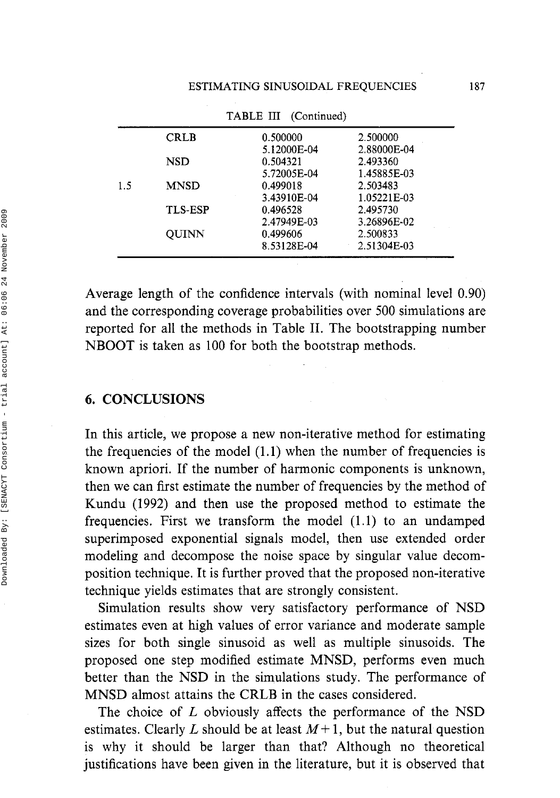|     |                | THEFT III (Committed) |             |
|-----|----------------|-----------------------|-------------|
|     | <b>CRLB</b>    | 0.500000              | 2.500000    |
|     |                | 5.12000E-04           | 2.88000E-04 |
|     | NSD            | 0.504321              | 2.493360    |
|     |                | 5.72005E-04           | 1.45885E-03 |
| 1.5 | <b>MNSD</b>    | 0.499018              | 2.503483    |
|     |                | 3.43910E-04           | 1.05221E-03 |
|     | <b>TLS-ESP</b> | 0.496528              | 2.495730    |
|     |                | 2.47949E-03           | 3.26896E-02 |
|     | <b>OUINN</b>   | 0.499606              | 2.500833    |
|     |                | 8.53128E-04           | 2.51304E-03 |
|     |                |                       |             |

TABLE I11 (Continued)

Average length of the confidence intervals (with nominal level 0.90) and the corresponding coverage probabilities over 500 simulations are reported for all the methods in Table 11. The bootstrapping number NBOOT is taken as 100 for both the bootstrap methods.

## *6.* **CONCLUSIONS**

In this article, we propose a new non-iterative method for estimating the frequencies of the model  $(1.1)$  when the number of frequencies is known apriori. If the number of harmonic components is unknown, then we can first estimate the number of frequencies by the method of Kundu (1992) and then use the proposed method to estimate the frequencies. First we transform the model (1.1) to an undamped superimposed exponential signals model, then use extended order modeling and decompose the noise space by singular value decomposition technique. It is further proved that the proposed non-iterative technique yields estimates that are strongly consistent.

Simulation results show very satisfactory performance of NSD estimates even at high values of error variance and moderate sample sizes for both single sinusoid as well as multiple sinusoids. The proposed one step modified estimate MNSD, performs even much better than the NSD in the simulations study. The performance of MNSD almost attains the CRLB in the cases considered.

The choice of L obviously affects the performance of the NSD estimates. Clearly L should be at least  $M+1$ , but the natural question is why it should be larger than that? Although no theoretical justifications have been given in the literature, but it is observed that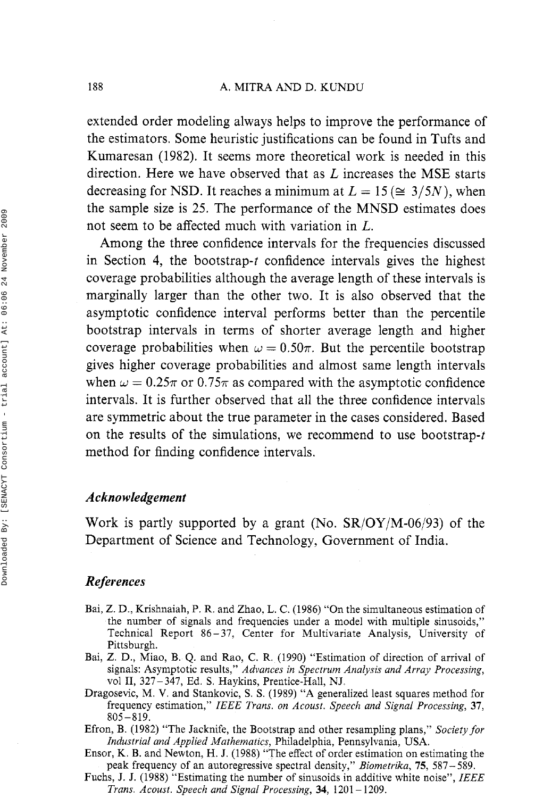#### 188 A. MITRA AND D. KUNDU

extended order modeling always helps to improve the performance of the estimators. Some heuristic justifications can be found in Tufts and Kumaresan (1982). It seems more theoretical work is needed in this direction. Here we have observed that as L increases the MSE starts decreasing for NSD. It reaches a minimum at  $L = 15 \, (\cong 3/5N)$ , when the sample size is 25. The performance of the MNSD estimates does not seem to be affected much with variation in L.

Among the three confidence intervals for the frequencies discussed in Section 4, the bootstrap-t confidence intervals gives the highest coverage probabilities although the average length of these intervals is marginally larger than the other two. It is also observed that the asymptotic confidence interval performs better than the percentile bootstrap intervals in terms of shorter average length and higher coverage probabilities when  $\omega = 0.50\pi$ . But the percentile bootstrap gives higher coverage probabilities and almost same length intervals when  $\omega = 0.25\pi$  or 0.75 $\pi$  as compared with the asymptotic confidence intervals. It is further observed that all the three confidence intervals are symmetric about the true parameter in the cases considered. Based on the results of the simulations, we recommend to use bootstrap-t method for finding confidence intervals.

## *Acknowledgement*

Work is partly supported by a grant (No.  $SR/OY/M-06/93$ ) of the Department of Science and Technology, Government of India.

## *References*

- Bai, Z. D., Krishnaiah, P. R, and Zhao, L. C. (1986) "On the simultaneous estimation of the number of signals and frequencies under a model with multiple sinusoids," Technical Report 86-37, Center for Multivariate Analysis, University of Pittsburgh.
- Bai, Z. D., Miao, B. Q. and Rao, C. R. (1990) "Estimation of direction of arrival of signals: Asymptotic results," *Advances in Spectrum Analysis and Array Processing,*  vol **11,** 327-347, Ed. **S.** Haykins, Prentice-Hall, NJ,
- Dragosevic, M. V, and Stankovic, S. S. (1989) "A generalized least squares method for frequency estimation," *IEEE Trans. on Acoust. Speech and Signal Processing*, 37, 805-819.
- Efron, B. (1982) "The Jacknife, the Bootstrap and other resampling plans," *Societyfor Industrial and Applied Mathematics,* Philadelphia, Pennsylvania, USA.
- Ensor, K. B. and Newton, H. J. (1988) "The effect of order estimation on estimating the peak frequency of an autoregressive spectral density," *Biometrika,* 75, 587-589.
- Fuchs, J. J. (1988) "Estimating the number of sinusoids in additive white noise", *ZEEE Trans. Acoust. Speech and Signal Processing,* **34,** <sup>1201</sup>- 1209.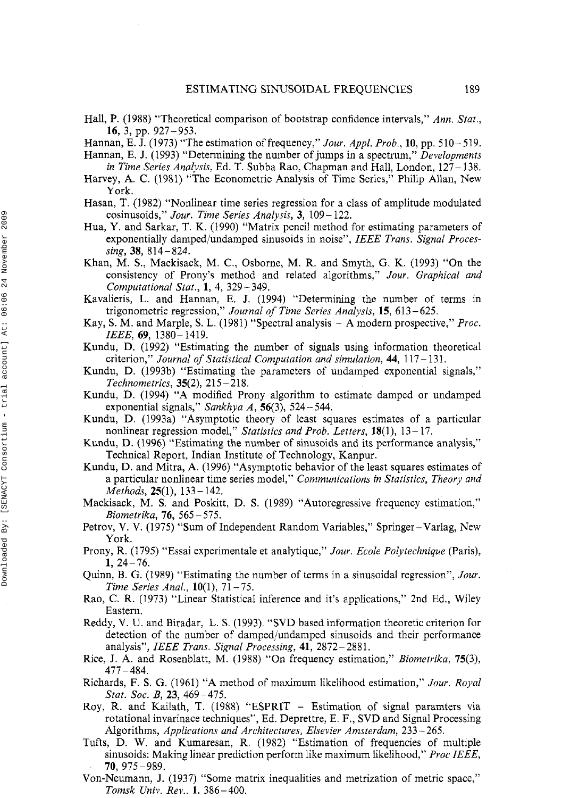- Hall, P. (1988) "Theoretical comparison of bootstrap confidence intervals," *Ann. Stat.,*  16, 3, pp. 927-953.
- Hannan, E. J. (1973) "The estimation of frequency," *Jour. Appl. Prob.,* 10, pp. 510- 519.
- Hannan, E. J. (1993) "Determining the number of jumps in a spectrum," *Developments in Time Series Analysis,* Ed. *T.* Subba Rao, Chapman and Hall, London, 127- 138.
- Harvey, A. C. (1981) "The Econometric Analysis of Time Series," Philip Allan, New York.
- Hasan, T. (1982) "Nonlinear time series regression for a class of amplitude modulated cosinusoids," *Jour. Time Series Analysis,* 3, 109- 122.
- Hua, Y. and Sarkar, T. K. (1990) "Matrix pencil method for estimating parameters of exponentially damped/undamped sinusoids in noise", *IEEE Trans. Signal Processing,* 38, 814-824.
- Khan, M. S., Mackisack, M. C., Osborne, M. R. and Smyth, G. K. (1993) "On the consistency of Prony's method and related algorithms," *Jour. Graphical and Computational Stat.,* 1, 4, 329-349.
- Kavalieris, L, and Hannan, E. J. (1994) "Determining the number of terms in trigonometric regression," *Journal of Time Series Analysis,* 15, 613-625.
- Kay, S. M. and Marple, S. L. (1981) "Spectral analysis A modern prospective," *Proc. ZEEE,* 69, 1380- 1419.
- Kundu, D. (1992) "Estimating the number of signals using information theoretical criterion," Journal of Statistical Computation and simulation, 44, 117-131.
- Kundu, D. (1993b) "Estimating the parameters of undamped exponential signals," *Technometrics,* 35(2), 215- 218.
- Kundu, D. (1994) "A modified Prony algorithm to estimate damped or undamped exponential signals," *Sankhya A*, 56(3), 524–544.
- Kundu, D. (1993a) "Asymptotic theory of least squares estimates of a particular nonlinear regression model," *Statistics and Prob. Letters,* 18(1), 13- 17.
- Kundu, D. (1996) "Estimating the number of sinusoids and its performance analysis," Technical Report, Indian Institute of Technology, Kanpur.
- Kundu, D. and Mitra, A. (1996) "Asymptotic behavior of the least squares estimates of a particular nonlinear time series model," *Communications in Statistics, Theory and Methods,* 25(1), 133- 142.
- Mackisack, M. S. and Poskitt, D. S. (1989) "Autoregressive frequency estimation," *Biometrika,* 76, 565 - 575.
- Petrov, V. V. (1975) "Sum of Independent Random Variables," Springer-Varlag, New York.
- Prony, R. (1795) "Essai experimentale et analytique," *Jour. Ecole Polytechnique* (Paris),  $1, 24-76.$
- Quinn, B. G. (1989) "Estimating the number of terms in a sinusoidal regression", *Jour. Time Series Anal.,* **10**(1), 71 - 75.
- Rao, C. R. (1973) "Linear Statistical inference and it's applications," 2nd Ed., Wiley Eastern.
- Reddy, V. U. and Biradar, L. S. (1993). "SVD based information theoretic criterion for detection of the number of damped/undamped sinusoids and their performance analysis", *IEEE Trans. Signal Processing,* **41,** 2872-2881.
- Rice, J. A. and Rosenblatt, M. (1988) "On frequency estimation," *Biometrika,* 75(3), 477-484.
- Richards, F. S. G. (1961) "A method of maximum likelihood estimation," *Jour. Royal Stat. Soc. B,* 23, 469-475.
- Roy, R. and Kailath, T. (1988) "ESPRIT Estimation of signal paramters via rotational invarinace techniques", Ed. Deprettre, E. F., SVD and Signal Processing Algorithms, *Applications and Architectures, Elsevier Amsterdam,* 233-265.
- Tufts, D. W. and Kumaresan, R. (1982) "Estimation of frequencies of multiple sinusoids: Making linear prediction perform like maximum likelihood," *Proc ZEEE,*  70, 975-989.
- Von-Neumann, J. (1937) "Some matrix inequalities and metrization of metric space," *Tomsk Univ. Rev.. 1.* 386-400.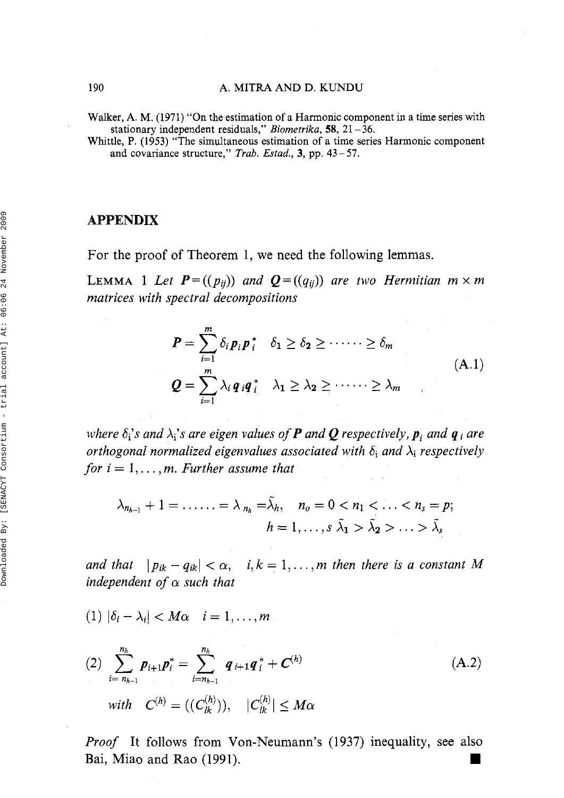Walker, A. M. (1971) "On the estimation of a Harmonic component in a time series with stationary independent residuals," *Biometrika*, **58**, 21 - 36.

Whittle, P. (1953) "The simultaneous estimation of a time series Harmonic component and covariance structure," Trab. *Estad.,* 3, pp. 43-57.

#### **APPENDIX**

For the proof of Theorem *1,* we need the following lemmas.

**LEMMA** 1 Let  $P = ((p_{ii})$  and  $Q = ((q_{ii}))$  are two Hermitian  $m \times m$ *matrices with spectral decompositions* 

$$
P = \sum_{i=1}^{m} \delta_i p_i p_i^* \quad \delta_1 \ge \delta_2 \ge \cdots \ge \delta_m
$$
  

$$
Q = \sum_{i=1}^{m} \lambda_i q_i q_i^* \quad \lambda_1 \ge \lambda_2 \ge \cdots \ge \lambda_m
$$
  
(A.1)

*where*  $\delta_i$ 's and  $\lambda_i$ 's are eigen values of **P** and **Q** respectively, **p**<sub>i</sub> and **q** i are *orthogonal normalized eigenvalues associated with*  $\delta_i$  *and*  $\lambda_i$  *respectively for*  $i = 1, \ldots, m$ *. Further assume that* 

$$
\lambda_{n_{h-1}}+1=\ldots\ldots=\lambda_{n_h}=\lambda_h,\quad n_o=0\tilde{\lambda_2}>\ldots>\tilde{\lambda_s}
$$

*and that*  $|p_{ik} - q_{ik}| < \alpha$ ,  $i, k = 1, ..., m$  then there is a constant M *independent of a such that* 

$$
(1) |\delta_i - \lambda_i| < M\alpha \quad i = 1, \ldots, m
$$

(2) 
$$
\sum_{i=n_{h-1}}^{n_h} p_{i+1} p_i^* = \sum_{i=n_{h-1}}^{n_h} q_{i+1} q_i^* + C^{(h)}
$$
  
\nwith  $C^{(h)} = ((C_{lk}^{(h)})), |C_{lk}^{(h)}| \le M\alpha$ 

*Proof* It follows from Von-Neumann's *(1937)* inequality, see also Bai, Miao and Rao (1991).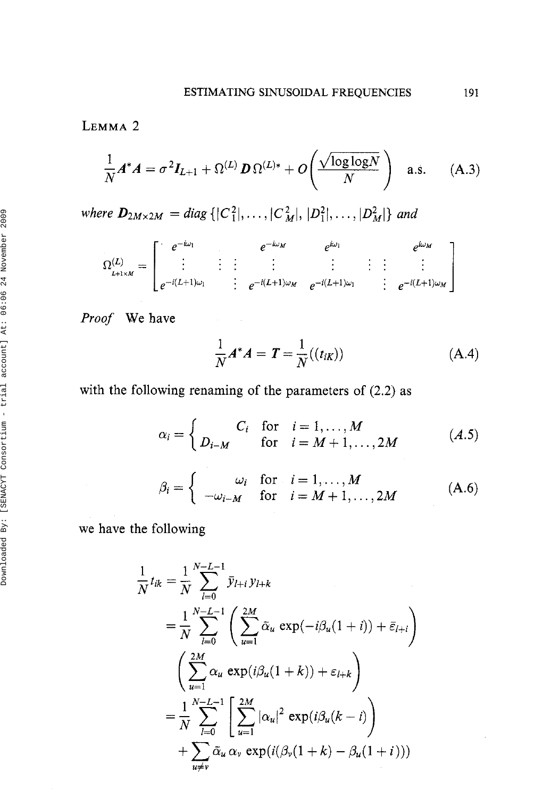## LEMMA<sub>2</sub>

$$
\frac{1}{N}A^*A = \sigma^2 I_{L+1} + \Omega^{(L)} D \Omega^{(L)*} + O\left(\frac{\sqrt{\log \log N}}{N}\right) \quad \text{a.s.} \tag{A.3}
$$

where  $D_{2M\times 2M} = diag\{|C_1^2|,\ldots,|C_M^2|,|D_1^2|,\ldots,|D_M^2|\}$  and

$$
\Omega_{L+1\times M}^{(L)} = \begin{bmatrix} e^{-i\omega_1} & e^{-i\omega_2} & e^{i\omega_3} \\ \vdots & \vdots & \vdots & \vdots \\ e^{-i(L+1)\omega_1} & e^{-i(L+1)\omega_2} & e^{-i(L+1)\omega_1} \end{bmatrix} \begin{matrix} e^{i\omega_3} & e^{i\omega_4} \\ \vdots & \vdots & \vdots \\ e^{-i(L+1)\omega_4} & e^{-i(L+1)\omega_5} \end{matrix}
$$

*Proof* We have

$$
\frac{1}{N}A^*A = T = \frac{1}{N}((t_{iK}))
$$
 (A.4)

with the following renaming of the parameters of (2.2) as

$$
\alpha_i = \begin{cases} C_i & \text{for} \quad i = 1, \dots, M \\ D_{i-M} & \text{for} \quad i = M+1, \dots, 2M \end{cases} \tag{A.5}
$$

$$
\beta_i = \left\{ \begin{array}{ll} \omega_i & \text{for} \quad i = 1, \dots, M \\ -\omega_{i-M} & \text{for} \quad i = M+1, \dots, 2M \end{array} \right. \tag{A.6}
$$

we have the following

$$
\frac{1}{N}t_{ik} = \frac{1}{N} \sum_{l=0}^{N-L-1} \bar{y}_{l+i} y_{l+k}
$$
\n
$$
= \frac{1}{N} \sum_{l=0}^{N-L-1} \left( \sum_{u=1}^{2M} \bar{\alpha}_u \exp(-i\beta_u(1+i)) + \bar{\varepsilon}_{l+i} \right)
$$
\n
$$
= \frac{2M}{N} \alpha_u \exp(i\beta_u(1+k)) + \varepsilon_{l+k}
$$
\n
$$
= \frac{1}{N} \sum_{l=0}^{N-L-1} \left[ \sum_{u=1}^{2M} |\alpha_u|^2 \exp(i\beta_u(k-i)) + \sum_{u \neq v} \bar{\alpha}_u \alpha_v \exp(i(\beta_v(1+k) - \beta_u(1+i))) \right]
$$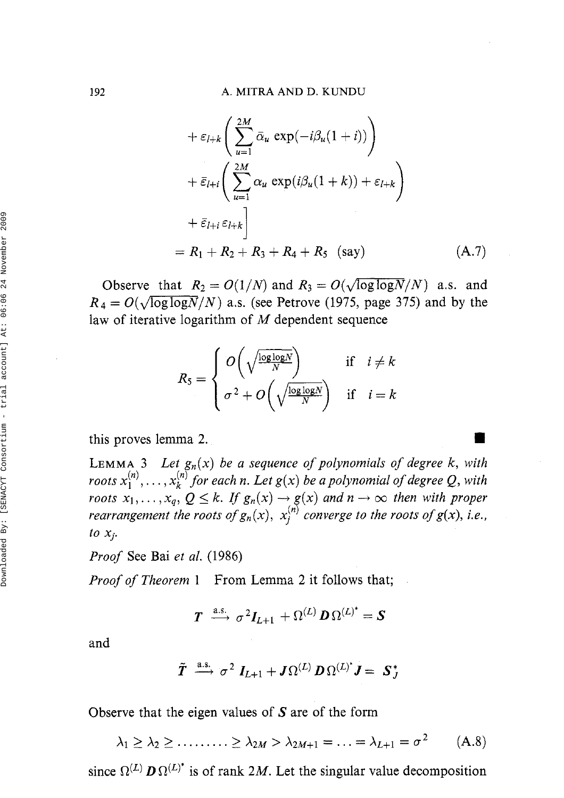$$
+ \varepsilon_{l+k} \left( \sum_{u=1}^{2M} \bar{\alpha}_u \exp(-i\beta_u(1+i)) \right)
$$
  
+  $\bar{\varepsilon}_{l+i} \left( \sum_{u=1}^{2M} \alpha_u \exp(i\beta_u(1+k)) + \varepsilon_{l+k} \right)$   
+  $\bar{\varepsilon}_{l+i} \varepsilon_{l+k} \Big]$   
=  $R_1 + R_2 + R_3 + R_4 + R_5$  (say) (A.7)

Observe that  $R_2 = O(1/N)$  and  $R_3 = O(\sqrt{\log \log N}/N)$  a.s. and  $R_4 = O(\sqrt{\log \log N}/N)$  a.s. (see Petrove (1975, page 375) and by the law of iterative logarithm of  $M$  dependent sequence

$$
R_5 = \begin{cases} O\left(\sqrt{\frac{\log\log N}{N}}\right) & \text{if } i \neq k \\ \sigma^2 + O\left(\sqrt{\frac{\log\log N}{N}}\right) & \text{if } i = k \end{cases}
$$

this proves lemma 2.

LEMMA 3 *Let*  $g_n(x)$  *be a sequence of polynomials of degree k, with* roots  $x_1^{(n)}, \ldots, x_k^{(n)}$  for each n. Let  $g(x)$  be a polynomial of degree Q, with *roots*  $x_1, \ldots, x_q$ ,  $Q \le k$ . If  $g_n(x) \rightarrow g(x)$  and  $n \rightarrow \infty$  then with proper *rearrangement the roots of*  $g_n(x)$ ,  $x_i^{(n)}$  *converge to the roots of g(x), i.e.,*  $to x_j$ .

*Proof* See Bai *et al.* (1986)

*Proof of Theorem 1* From Lemma 2 it follows that;

$$
\boldsymbol{T} \ \stackrel{\text{a.s.}}{\longrightarrow} \ \sigma^2 \boldsymbol{I}_{L+1} \ + \Omega^{(L)} \, \boldsymbol{D} \, \Omega^{(L)^*} = \boldsymbol{S}
$$

and

$$
\tilde{\bm{T}} \ \stackrel{\mathrm{a.s.}}{\longrightarrow} \ \sigma^2 \ \bm{I}_{L+1} + \bm{J} \Omega^{(L)} \, \bm{D} \, \Omega^{(L)^*} \bm{J} = \ \bm{S}_{\bm{J}}^*
$$

Observe that the eigen values of **S** are of the form

$$
\lambda_1 \geq \lambda_2 \geq \dots \dots \geq \lambda_{2M} > \lambda_{2M+1} = \dots = \lambda_{L+1} = \sigma^2 \qquad (A.8)
$$

since  $\Omega^{(L)}$  **D** $\Omega^{(L)^*}$  is of rank 2M. Let the singular value decomposition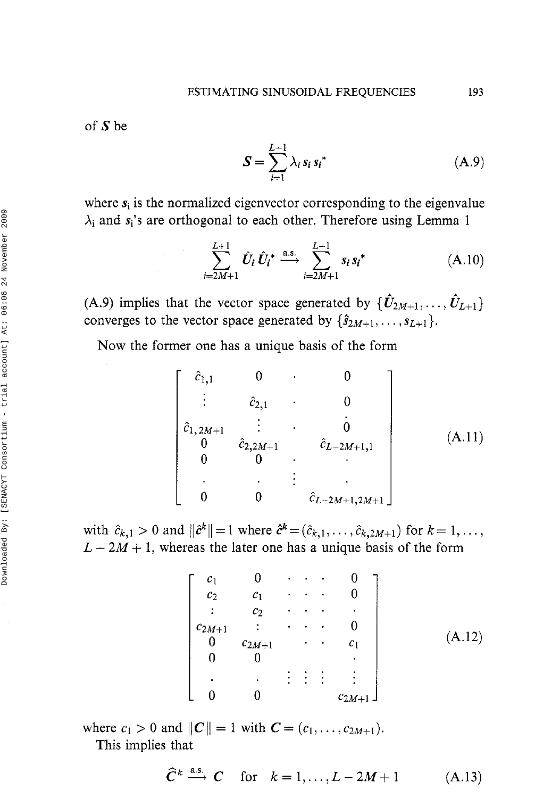of  $S$  be

$$
\mathbf{S} = \sum_{i=1}^{L+1} \lambda_i \, s_i \, s_i^* \tag{A.9}
$$

where  $s_i$  is the normalized eigenvector corresponding to the eigenvalue  $\lambda_i$  and  $s_i$ 's are orthogonal to each other. Therefore using Lemma 1

$$
\sum_{i=2M+1}^{L+1} \hat{U}_i \, \hat{U}_i^* \xrightarrow{a.s.} \sum_{i=2M+1}^{L+1} s_i \, s_i^* \tag{A.10}
$$

(A.9) implies that the vector space generated by  $\{\hat{U}_{2M+1}, \ldots, \hat{U}_{L+1}\}$ converges to the vector space generated by  $\{\hat{s}_{2M+1}, \ldots, s_{L+1}\}.$ 

Now the former one has a unique basis of the form

$$
\begin{bmatrix}\n\hat{c}_{1,1} & 0 & 0 & 0 \\
\vdots & \hat{c}_{2,1} & 0 & 0 \\
\hat{c}_{1,2M+1} & \vdots & \hat{c}_{2,2M+1} & 0 \\
0 & \hat{c}_{2,2M+1} & \hat{c}_{L-2M+1,1} & 0 \\
0 & 0 & \vdots & \vdots \\
0 & 0 & \hat{c}_{L-2M+1,2M+1}\n\end{bmatrix}
$$
\n(A.11)

with  $\hat{c}_{k,1} > 0$  and  $\|\hat{c}^k\| = 1$  where  $\hat{c}^k = (\hat{c}_{k,1}, \dots, \hat{c}_{k,2M+1})$  for  $k = 1, \dots,$  $L - 2M + 1$ , whereas the later one has a unique basis of the form

$$
\begin{bmatrix}c_1 & 0 & \cdots & 0 \\ c_2 & c_1 & \cdots & 0 \\ \vdots & c_2 & \cdots & \vdots \\ c_{2M+1} & \vdots & \cdots & 0 \\ 0 & c_{2M+1} & \cdots & c_1 \\ 0 & 0 & & \vdots \\ \vdots & \vdots & \vdots & \vdots \\ 0 & 0 & & c_{2M+1}\end{bmatrix}
$$
 (A.12)

where  $c_1 > 0$  and  $||C|| = 1$  with  $C = (c_1, \ldots, c_{2M+1}).$ This implies that

 $\hat{C}^k \stackrel{\text{a.s.}}{\longrightarrow} C$  for  $k = 1, ..., L-2M+1$  (A.13)